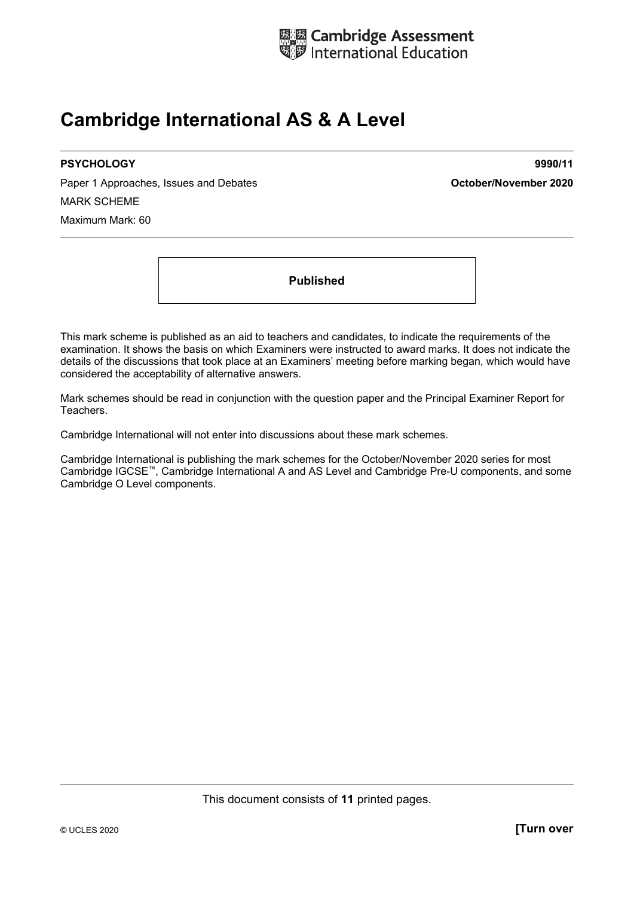

## **Cambridge International AS & A Level**

Paper 1 Approaches, Issues and Debates **Container and Container and Debates Container 2020** MARK SCHEME Maximum Mark: 60

**PSYCHOLOGY 9990/11** 

**Published** 

This mark scheme is published as an aid to teachers and candidates, to indicate the requirements of the examination. It shows the basis on which Examiners were instructed to award marks. It does not indicate the details of the discussions that took place at an Examiners' meeting before marking began, which would have considered the acceptability of alternative answers.

Mark schemes should be read in conjunction with the question paper and the Principal Examiner Report for Teachers.

Cambridge International will not enter into discussions about these mark schemes.

Cambridge International is publishing the mark schemes for the October/November 2020 series for most Cambridge IGCSE™, Cambridge International A and AS Level and Cambridge Pre-U components, and some Cambridge O Level components.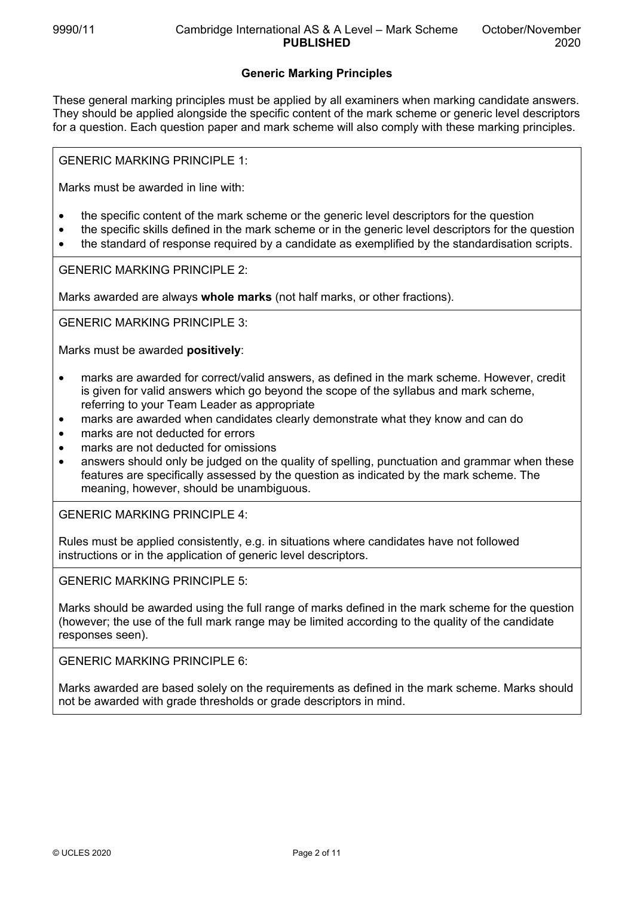## **Generic Marking Principles**

These general marking principles must be applied by all examiners when marking candidate answers. They should be applied alongside the specific content of the mark scheme or generic level descriptors for a question. Each question paper and mark scheme will also comply with these marking principles.

GENERIC MARKING PRINCIPLE 1:

Marks must be awarded in line with:

- the specific content of the mark scheme or the generic level descriptors for the question
- the specific skills defined in the mark scheme or in the generic level descriptors for the question
- the standard of response required by a candidate as exemplified by the standardisation scripts.

GENERIC MARKING PRINCIPLE 2:

Marks awarded are always **whole marks** (not half marks, or other fractions).

GENERIC MARKING PRINCIPLE 3:

Marks must be awarded **positively**:

- marks are awarded for correct/valid answers, as defined in the mark scheme. However, credit is given for valid answers which go beyond the scope of the syllabus and mark scheme, referring to your Team Leader as appropriate
- marks are awarded when candidates clearly demonstrate what they know and can do
- marks are not deducted for errors
- marks are not deducted for omissions
- answers should only be judged on the quality of spelling, punctuation and grammar when these features are specifically assessed by the question as indicated by the mark scheme. The meaning, however, should be unambiguous.

GENERIC MARKING PRINCIPLE 4:

Rules must be applied consistently, e.g. in situations where candidates have not followed instructions or in the application of generic level descriptors.

GENERIC MARKING PRINCIPLE 5:

Marks should be awarded using the full range of marks defined in the mark scheme for the question (however; the use of the full mark range may be limited according to the quality of the candidate responses seen).

GENERIC MARKING PRINCIPLE 6:

Marks awarded are based solely on the requirements as defined in the mark scheme. Marks should not be awarded with grade thresholds or grade descriptors in mind.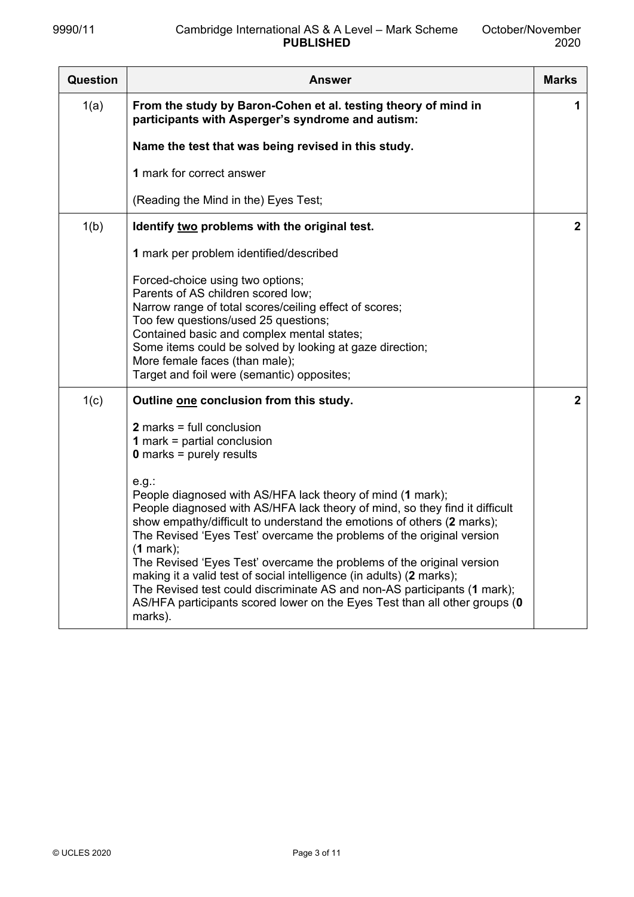| Question | <b>Answer</b>                                                                                                                                                                                                                                                                                                                                                                                                                                                                                                                                                                                                                                                                                                                                | <b>Marks</b> |
|----------|----------------------------------------------------------------------------------------------------------------------------------------------------------------------------------------------------------------------------------------------------------------------------------------------------------------------------------------------------------------------------------------------------------------------------------------------------------------------------------------------------------------------------------------------------------------------------------------------------------------------------------------------------------------------------------------------------------------------------------------------|--------------|
| 1(a)     | From the study by Baron-Cohen et al. testing theory of mind in<br>participants with Asperger's syndrome and autism:                                                                                                                                                                                                                                                                                                                                                                                                                                                                                                                                                                                                                          | 1            |
|          | Name the test that was being revised in this study.                                                                                                                                                                                                                                                                                                                                                                                                                                                                                                                                                                                                                                                                                          |              |
|          | 1 mark for correct answer                                                                                                                                                                                                                                                                                                                                                                                                                                                                                                                                                                                                                                                                                                                    |              |
|          | (Reading the Mind in the) Eyes Test;                                                                                                                                                                                                                                                                                                                                                                                                                                                                                                                                                                                                                                                                                                         |              |
| 1(b)     | Identify two problems with the original test.                                                                                                                                                                                                                                                                                                                                                                                                                                                                                                                                                                                                                                                                                                | $\mathbf{2}$ |
|          | 1 mark per problem identified/described                                                                                                                                                                                                                                                                                                                                                                                                                                                                                                                                                                                                                                                                                                      |              |
|          | Forced-choice using two options;<br>Parents of AS children scored low;<br>Narrow range of total scores/ceiling effect of scores;<br>Too few questions/used 25 questions;<br>Contained basic and complex mental states;<br>Some items could be solved by looking at gaze direction;<br>More female faces (than male);<br>Target and foil were (semantic) opposites;                                                                                                                                                                                                                                                                                                                                                                           |              |
| 1(c)     | Outline one conclusion from this study.                                                                                                                                                                                                                                                                                                                                                                                                                                                                                                                                                                                                                                                                                                      | $\mathbf{2}$ |
|          | $2$ marks = full conclusion<br><b>1</b> mark = partial conclusion<br>$0$ marks = purely results<br>e.g.<br>People diagnosed with AS/HFA lack theory of mind (1 mark);<br>People diagnosed with AS/HFA lack theory of mind, so they find it difficult<br>show empathy/difficult to understand the emotions of others (2 marks);<br>The Revised 'Eyes Test' overcame the problems of the original version<br>$(1$ mark);<br>The Revised 'Eyes Test' overcame the problems of the original version<br>making it a valid test of social intelligence (in adults) (2 marks);<br>The Revised test could discriminate AS and non-AS participants (1 mark);<br>AS/HFA participants scored lower on the Eyes Test than all other groups (0<br>marks). |              |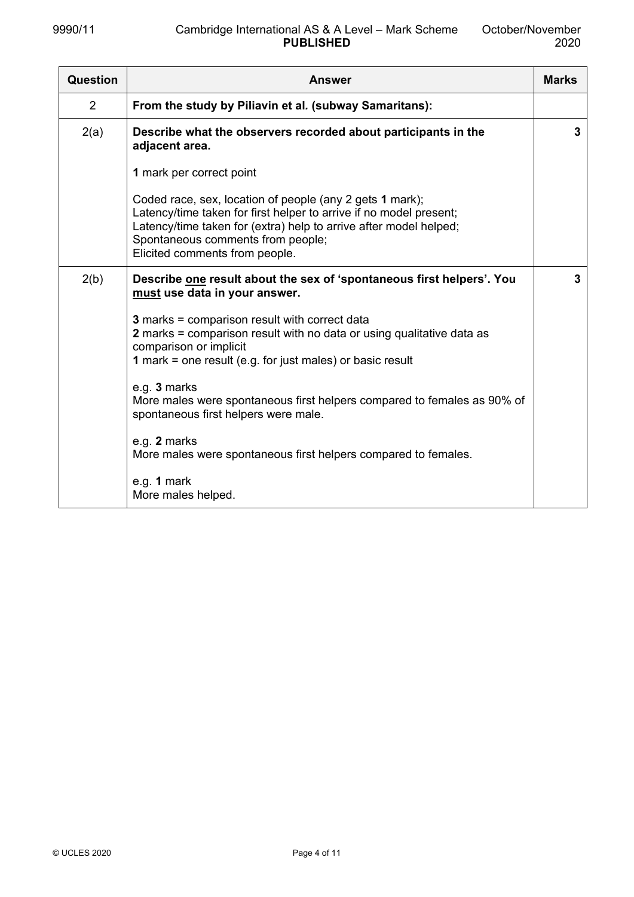| Question | <b>Answer</b>                                                                                                                                                                                                                                                              | <b>Marks</b> |
|----------|----------------------------------------------------------------------------------------------------------------------------------------------------------------------------------------------------------------------------------------------------------------------------|--------------|
| 2        | From the study by Piliavin et al. (subway Samaritans):                                                                                                                                                                                                                     |              |
| 2(a)     | Describe what the observers recorded about participants in the<br>adjacent area.                                                                                                                                                                                           | 3            |
|          | 1 mark per correct point                                                                                                                                                                                                                                                   |              |
|          | Coded race, sex, location of people (any 2 gets 1 mark);<br>Latency/time taken for first helper to arrive if no model present;<br>Latency/time taken for (extra) help to arrive after model helped;<br>Spontaneous comments from people;<br>Elicited comments from people. |              |
| 2(b)     | Describe one result about the sex of 'spontaneous first helpers'. You<br>must use data in your answer.                                                                                                                                                                     | 3            |
|          | <b>3</b> marks = comparison result with correct data<br>2 marks = comparison result with no data or using qualitative data as<br>comparison or implicit<br>1 mark = one result (e.g. for just males) or basic result                                                       |              |
|          | e.g. 3 marks<br>More males were spontaneous first helpers compared to females as 90% of<br>spontaneous first helpers were male.                                                                                                                                            |              |
|          | e.g. 2 marks<br>More males were spontaneous first helpers compared to females.                                                                                                                                                                                             |              |
|          | e.g. 1 mark<br>More males helped.                                                                                                                                                                                                                                          |              |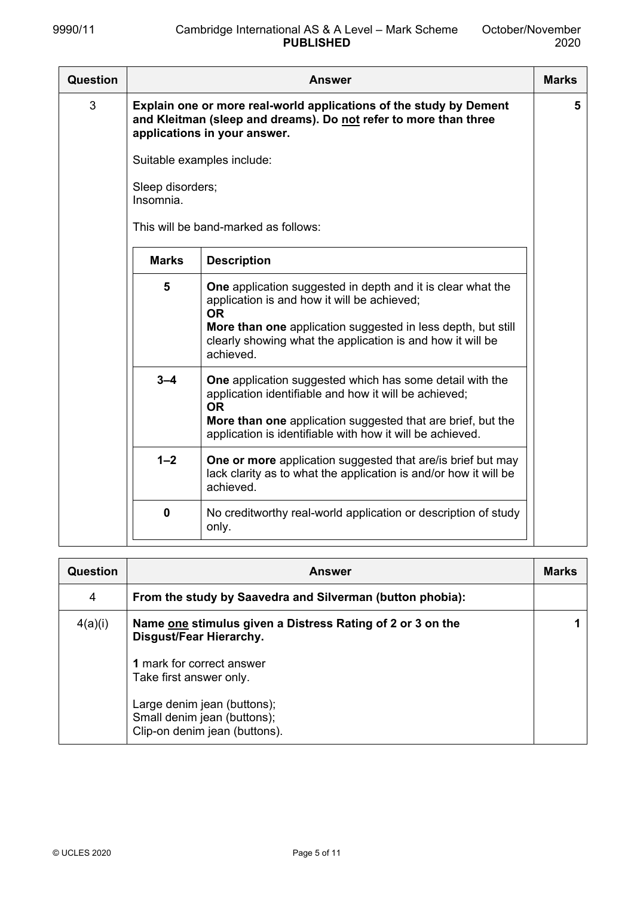| <b>Question</b> |                               | <b>Answer</b>                                                                                                                                                                                                                                                             | <b>Marks</b> |
|-----------------|-------------------------------|---------------------------------------------------------------------------------------------------------------------------------------------------------------------------------------------------------------------------------------------------------------------------|--------------|
| 3               | Sleep disorders;<br>Insomnia. | Explain one or more real-world applications of the study by Dement<br>and Kleitman (sleep and dreams). Do not refer to more than three<br>applications in your answer.<br>Suitable examples include:<br>This will be band-marked as follows:                              | 5            |
|                 | <b>Marks</b>                  | <b>Description</b>                                                                                                                                                                                                                                                        |              |
|                 | $5\phantom{1}$                | <b>One</b> application suggested in depth and it is clear what the<br>application is and how it will be achieved;<br><b>OR</b><br>More than one application suggested in less depth, but still<br>clearly showing what the application is and how it will be<br>achieved. |              |
|                 | $3 - 4$                       | <b>One</b> application suggested which has some detail with the<br>application identifiable and how it will be achieved;<br><b>OR</b><br>More than one application suggested that are brief, but the<br>application is identifiable with how it will be achieved.         |              |
|                 | $1 - 2$                       | <b>One or more</b> application suggested that are/is brief but may<br>lack clarity as to what the application is and/or how it will be<br>achieved.                                                                                                                       |              |
|                 | $\mathbf 0$                   | No creditworthy real-world application or description of study<br>only.                                                                                                                                                                                                   |              |

| Question | <b>Answer</b>                                                                               | <b>Marks</b> |
|----------|---------------------------------------------------------------------------------------------|--------------|
| 4        | From the study by Saavedra and Silverman (button phobia):                                   |              |
| 4(a)(i)  | Name one stimulus given a Distress Rating of 2 or 3 on the<br>Disgust/Fear Hierarchy.       |              |
|          | 1 mark for correct answer<br>Take first answer only.                                        |              |
|          | Large denim jean (buttons);<br>Small denim jean (buttons);<br>Clip-on denim jean (buttons). |              |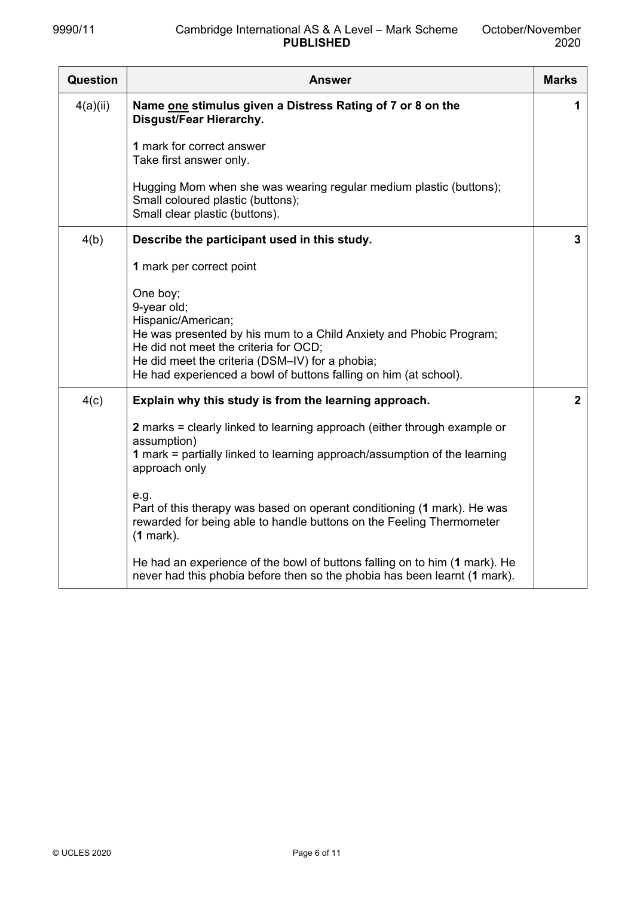| <b>Question</b> | <b>Answer</b>                                                                                                                                                                                                                                                                       | <b>Marks</b> |
|-----------------|-------------------------------------------------------------------------------------------------------------------------------------------------------------------------------------------------------------------------------------------------------------------------------------|--------------|
| 4(a)(ii)        | Name one stimulus given a Distress Rating of 7 or 8 on the<br>Disgust/Fear Hierarchy.                                                                                                                                                                                               | 1            |
|                 | 1 mark for correct answer<br>Take first answer only.                                                                                                                                                                                                                                |              |
|                 | Hugging Mom when she was wearing regular medium plastic (buttons);<br>Small coloured plastic (buttons);<br>Small clear plastic (buttons).                                                                                                                                           |              |
| 4(b)            | Describe the participant used in this study.                                                                                                                                                                                                                                        | 3            |
|                 | 1 mark per correct point                                                                                                                                                                                                                                                            |              |
|                 | One boy;<br>9-year old;<br>Hispanic/American;<br>He was presented by his mum to a Child Anxiety and Phobic Program;<br>He did not meet the criteria for OCD;<br>He did meet the criteria (DSM-IV) for a phobia;<br>He had experienced a bowl of buttons falling on him (at school). |              |
| 4(c)            | Explain why this study is from the learning approach.                                                                                                                                                                                                                               | $\mathbf{2}$ |
|                 | 2 marks = clearly linked to learning approach (either through example or<br>assumption)<br>1 mark = partially linked to learning approach/assumption of the learning<br>approach only                                                                                               |              |
|                 | e.g.<br>Part of this therapy was based on operant conditioning (1 mark). He was<br>rewarded for being able to handle buttons on the Feeling Thermometer<br>$(1$ mark).                                                                                                              |              |
|                 | He had an experience of the bowl of buttons falling on to him (1 mark). He<br>never had this phobia before then so the phobia has been learnt (1 mark).                                                                                                                             |              |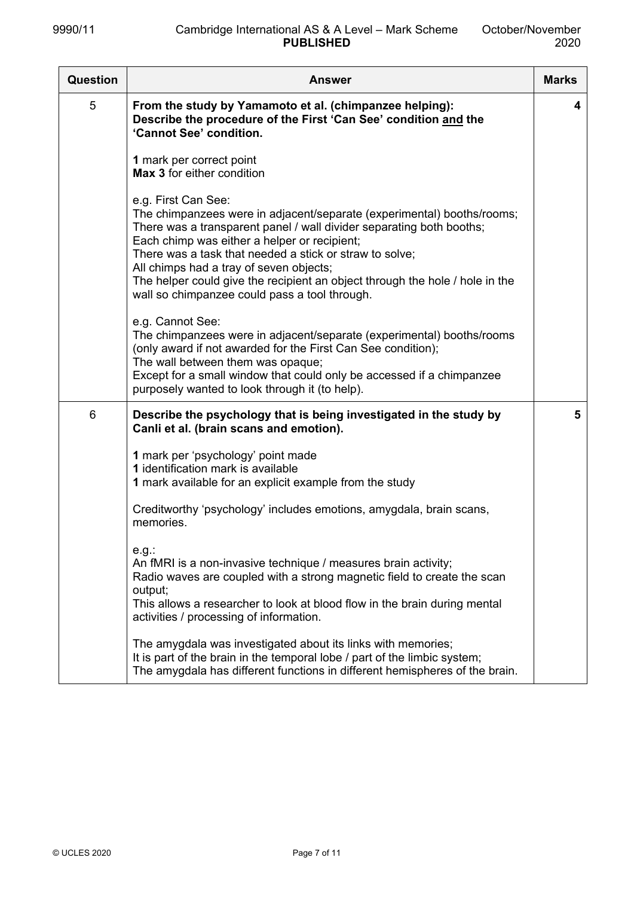| <b>Question</b> | Answer                                                                                                                                                                                                                                                                                                                                                                                                                                                       | <b>Marks</b> |
|-----------------|--------------------------------------------------------------------------------------------------------------------------------------------------------------------------------------------------------------------------------------------------------------------------------------------------------------------------------------------------------------------------------------------------------------------------------------------------------------|--------------|
| 5               | From the study by Yamamoto et al. (chimpanzee helping):<br>Describe the procedure of the First 'Can See' condition and the<br>'Cannot See' condition.                                                                                                                                                                                                                                                                                                        | 4            |
|                 | 1 mark per correct point<br>Max 3 for either condition                                                                                                                                                                                                                                                                                                                                                                                                       |              |
|                 | e.g. First Can See:<br>The chimpanzees were in adjacent/separate (experimental) booths/rooms;<br>There was a transparent panel / wall divider separating both booths;<br>Each chimp was either a helper or recipient;<br>There was a task that needed a stick or straw to solve;<br>All chimps had a tray of seven objects;<br>The helper could give the recipient an object through the hole / hole in the<br>wall so chimpanzee could pass a tool through. |              |
|                 | e.g. Cannot See:<br>The chimpanzees were in adjacent/separate (experimental) booths/rooms<br>(only award if not awarded for the First Can See condition);<br>The wall between them was opaque;<br>Except for a small window that could only be accessed if a chimpanzee<br>purposely wanted to look through it (to help).                                                                                                                                    |              |
| 6               | Describe the psychology that is being investigated in the study by<br>Canli et al. (brain scans and emotion).                                                                                                                                                                                                                                                                                                                                                | 5            |
|                 | 1 mark per 'psychology' point made<br>1 identification mark is available<br>1 mark available for an explicit example from the study<br>Creditworthy 'psychology' includes emotions, amygdala, brain scans,                                                                                                                                                                                                                                                   |              |
|                 | memories.<br>e.g.<br>An fMRI is a non-invasive technique / measures brain activity;<br>Radio waves are coupled with a strong magnetic field to create the scan<br>output;<br>This allows a researcher to look at blood flow in the brain during mental<br>activities / processing of information.                                                                                                                                                            |              |
|                 | The amygdala was investigated about its links with memories;<br>It is part of the brain in the temporal lobe / part of the limbic system;<br>The amygdala has different functions in different hemispheres of the brain.                                                                                                                                                                                                                                     |              |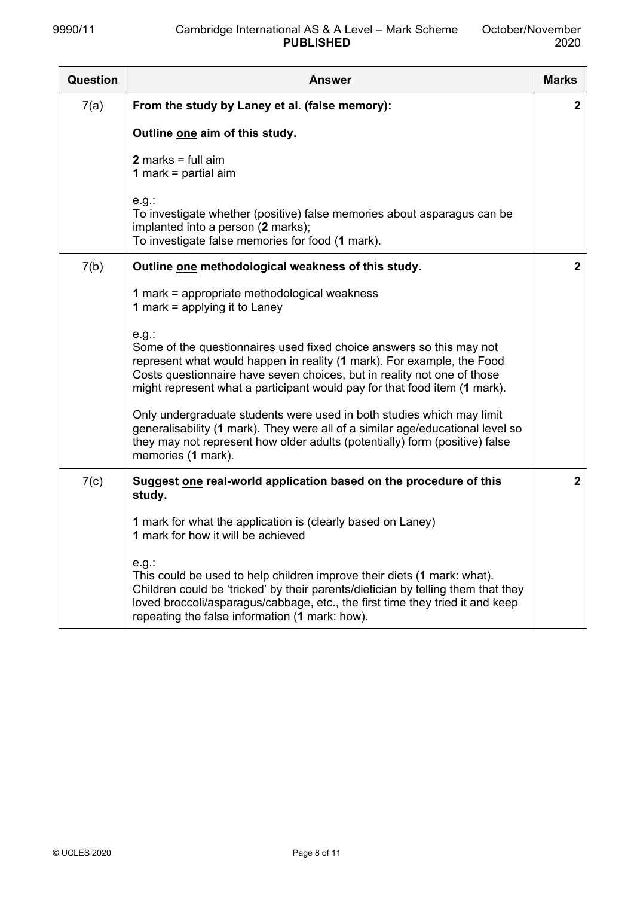| <b>Question</b> | <b>Answer</b>                                                                                                                                                                                                                                                                                                  | <b>Marks</b> |
|-----------------|----------------------------------------------------------------------------------------------------------------------------------------------------------------------------------------------------------------------------------------------------------------------------------------------------------------|--------------|
| 7(a)            | From the study by Laney et al. (false memory):                                                                                                                                                                                                                                                                 | $\mathbf{2}$ |
|                 | Outline one aim of this study.                                                                                                                                                                                                                                                                                 |              |
|                 | $2$ marks = full aim<br><b>1</b> mark = partial aim                                                                                                                                                                                                                                                            |              |
|                 | e.g.<br>To investigate whether (positive) false memories about asparagus can be<br>implanted into a person (2 marks);<br>To investigate false memories for food (1 mark).                                                                                                                                      |              |
| 7(b)            | Outline one methodological weakness of this study.                                                                                                                                                                                                                                                             | $\mathbf{2}$ |
|                 | 1 mark = appropriate methodological weakness<br><b>1</b> mark = applying it to Laney                                                                                                                                                                                                                           |              |
|                 | e.g.<br>Some of the questionnaires used fixed choice answers so this may not<br>represent what would happen in reality (1 mark). For example, the Food<br>Costs questionnaire have seven choices, but in reality not one of those<br>might represent what a participant would pay for that food item (1 mark). |              |
|                 | Only undergraduate students were used in both studies which may limit<br>generalisability (1 mark). They were all of a similar age/educational level so<br>they may not represent how older adults (potentially) form (positive) false<br>memories (1 mark).                                                   |              |
| 7(c)            | Suggest one real-world application based on the procedure of this<br>study.                                                                                                                                                                                                                                    | $\mathbf{2}$ |
|                 | 1 mark for what the application is (clearly based on Laney)<br>1 mark for how it will be achieved                                                                                                                                                                                                              |              |
|                 | e.g.<br>This could be used to help children improve their diets (1 mark: what).<br>Children could be 'tricked' by their parents/dietician by telling them that they<br>loved broccoli/asparagus/cabbage, etc., the first time they tried it and keep<br>repeating the false information (1 mark: how).         |              |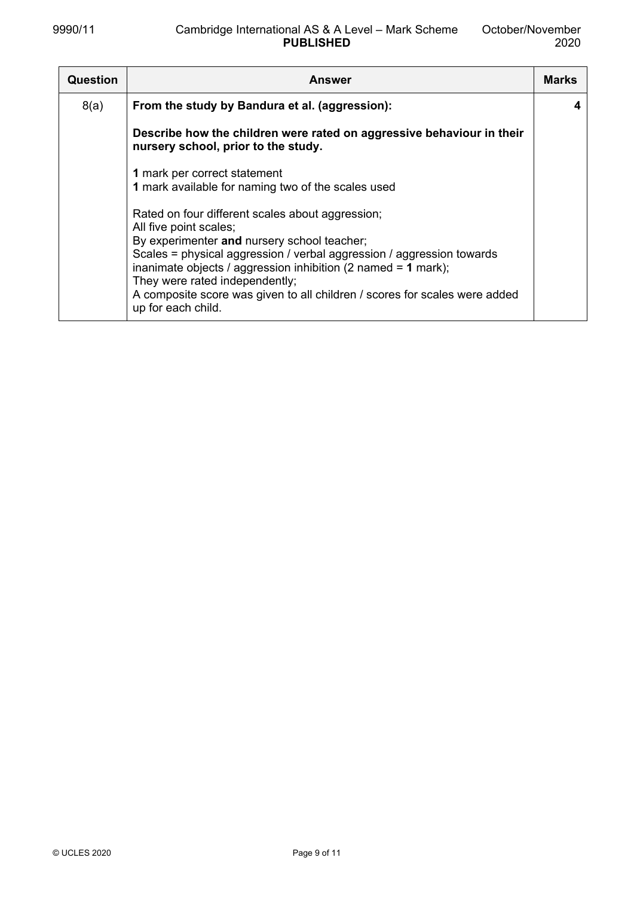| <b>Question</b> | <b>Answer</b>                                                                                                                                                                                         | <b>Marks</b> |
|-----------------|-------------------------------------------------------------------------------------------------------------------------------------------------------------------------------------------------------|--------------|
| 8(a)            | From the study by Bandura et al. (aggression):                                                                                                                                                        | 4            |
|                 | Describe how the children were rated on aggressive behaviour in their<br>nursery school, prior to the study.                                                                                          |              |
|                 | 1 mark per correct statement<br>1 mark available for naming two of the scales used                                                                                                                    |              |
|                 | Rated on four different scales about aggression;<br>All five point scales;<br>By experimenter and nursery school teacher;<br>Scales = physical aggression / verbal aggression / aggression towards    |              |
|                 | inanimate objects / aggression inhibition (2 named = $1$ mark);<br>They were rated independently;<br>A composite score was given to all children / scores for scales were added<br>up for each child. |              |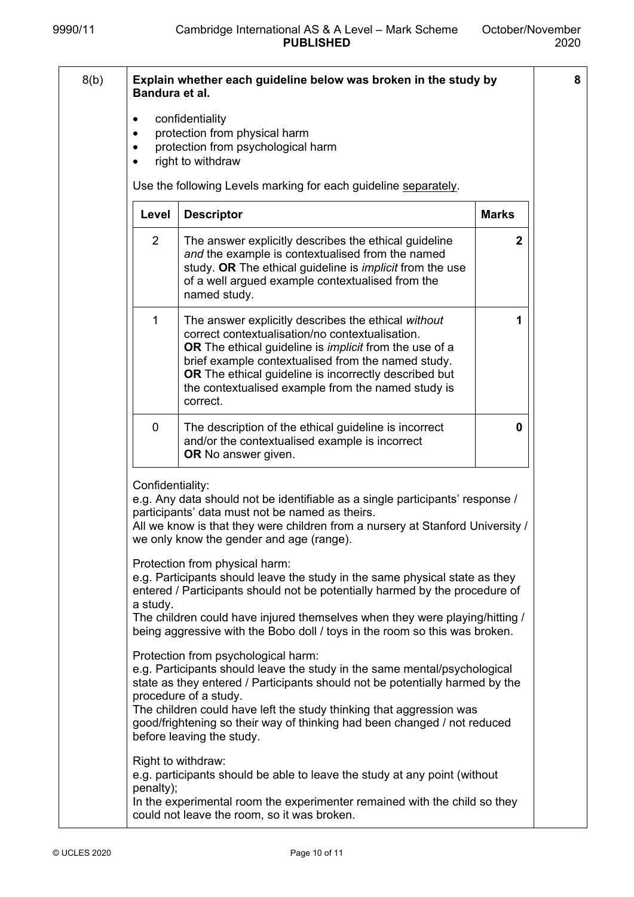**8** 

| 8(b) | Bandura et al.   | Explain whether each guideline below was broken in the study by                                                                                                                                                                                                                                                                                                                                           |              |
|------|------------------|-----------------------------------------------------------------------------------------------------------------------------------------------------------------------------------------------------------------------------------------------------------------------------------------------------------------------------------------------------------------------------------------------------------|--------------|
|      | ٠                | confidentiality<br>protection from physical harm<br>protection from psychological harm<br>right to withdraw                                                                                                                                                                                                                                                                                               |              |
|      |                  | Use the following Levels marking for each guideline separately.                                                                                                                                                                                                                                                                                                                                           |              |
|      | Level            | <b>Descriptor</b>                                                                                                                                                                                                                                                                                                                                                                                         | <b>Marks</b> |
|      | 2                | The answer explicitly describes the ethical guideline<br>and the example is contextualised from the named<br>study. OR The ethical guideline is <i>implicit</i> from the use<br>of a well argued example contextualised from the<br>named study.                                                                                                                                                          | $\mathbf 2$  |
|      | 1                | The answer explicitly describes the ethical without<br>correct contextualisation/no contextualisation.<br>OR The ethical guideline is <i>implicit</i> from the use of a<br>brief example contextualised from the named study.<br><b>OR</b> The ethical guideline is incorrectly described but<br>the contextualised example from the named study is<br>correct.                                           | 1            |
|      | 0                | The description of the ethical guideline is incorrect<br>and/or the contextualised example is incorrect<br>OR No answer given.                                                                                                                                                                                                                                                                            | 0            |
|      | Confidentiality: | e.g. Any data should not be identifiable as a single participants' response /<br>participants' data must not be named as theirs.<br>All we know is that they were children from a nursery at Stanford University /<br>we only know the gender and age (range).                                                                                                                                            |              |
|      | a study.         | Protection from physical harm:<br>e.g. Participants should leave the study in the same physical state as they<br>entered / Participants should not be potentially harmed by the procedure of<br>The children could have injured themselves when they were playing/hitting /<br>being aggressive with the Bobo doll / toys in the room so this was broken.                                                 |              |
|      |                  | Protection from psychological harm:<br>e.g. Participants should leave the study in the same mental/psychological<br>state as they entered / Participants should not be potentially harmed by the<br>procedure of a study.<br>The children could have left the study thinking that aggression was<br>good/frightening so their way of thinking had been changed / not reduced<br>before leaving the study. |              |
|      | penalty);        | Right to withdraw:<br>e.g. participants should be able to leave the study at any point (without<br>In the experimental room the experimenter remained with the child so they<br>could not leave the room, so it was broken.                                                                                                                                                                               |              |